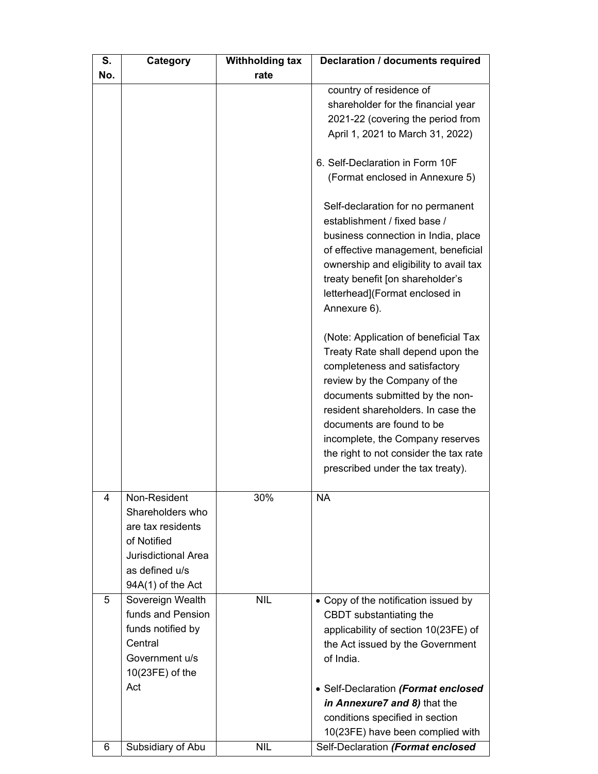| S.  | Category            | <b>Withholding tax</b> | <b>Declaration / documents required</b>                                     |
|-----|---------------------|------------------------|-----------------------------------------------------------------------------|
| No. |                     | rate                   |                                                                             |
|     |                     |                        | country of residence of                                                     |
|     |                     |                        | shareholder for the financial year                                          |
|     |                     |                        | 2021-22 (covering the period from                                           |
|     |                     |                        | April 1, 2021 to March 31, 2022)                                            |
|     |                     |                        |                                                                             |
|     |                     |                        | 6. Self-Declaration in Form 10F                                             |
|     |                     |                        | (Format enclosed in Annexure 5)                                             |
|     |                     |                        |                                                                             |
|     |                     |                        | Self-declaration for no permanent                                           |
|     |                     |                        | establishment / fixed base /                                                |
|     |                     |                        | business connection in India, place                                         |
|     |                     |                        | of effective management, beneficial                                         |
|     |                     |                        | ownership and eligibility to avail tax                                      |
|     |                     |                        | treaty benefit [on shareholder's                                            |
|     |                     |                        | letterhead](Format enclosed in                                              |
|     |                     |                        | Annexure 6).                                                                |
|     |                     |                        |                                                                             |
|     |                     |                        | (Note: Application of beneficial Tax                                        |
|     |                     |                        | Treaty Rate shall depend upon the                                           |
|     |                     |                        | completeness and satisfactory                                               |
|     |                     |                        | review by the Company of the                                                |
|     |                     |                        | documents submitted by the non-                                             |
|     |                     |                        | resident shareholders. In case the                                          |
|     |                     |                        | documents are found to be                                                   |
|     |                     |                        | incomplete, the Company reserves                                            |
|     |                     |                        | the right to not consider the tax rate<br>prescribed under the tax treaty). |
|     |                     |                        |                                                                             |
| 4   | Non-Resident        | 30%                    | NA                                                                          |
|     | Shareholders who    |                        |                                                                             |
|     | are tax residents   |                        |                                                                             |
|     | of Notified         |                        |                                                                             |
|     | Jurisdictional Area |                        |                                                                             |
|     | as defined u/s      |                        |                                                                             |
|     | 94A(1) of the Act   |                        |                                                                             |
| 5   | Sovereign Wealth    | <b>NIL</b>             | • Copy of the notification issued by                                        |
|     | funds and Pension   |                        | CBDT substantiating the                                                     |
|     | funds notified by   |                        | applicability of section 10(23FE) of                                        |
|     | Central             |                        | the Act issued by the Government                                            |
|     | Government u/s      |                        | of India.                                                                   |
|     | $10(23FE)$ of the   |                        |                                                                             |
|     | Act                 |                        | • Self-Declaration (Format enclosed                                         |
|     |                     |                        | in Annexure7 and 8) that the                                                |
|     |                     |                        | conditions specified in section                                             |
|     |                     |                        | 10(23FE) have been complied with                                            |
| 6   | Subsidiary of Abu   | <b>NIL</b>             | Self-Declaration (Format enclosed                                           |